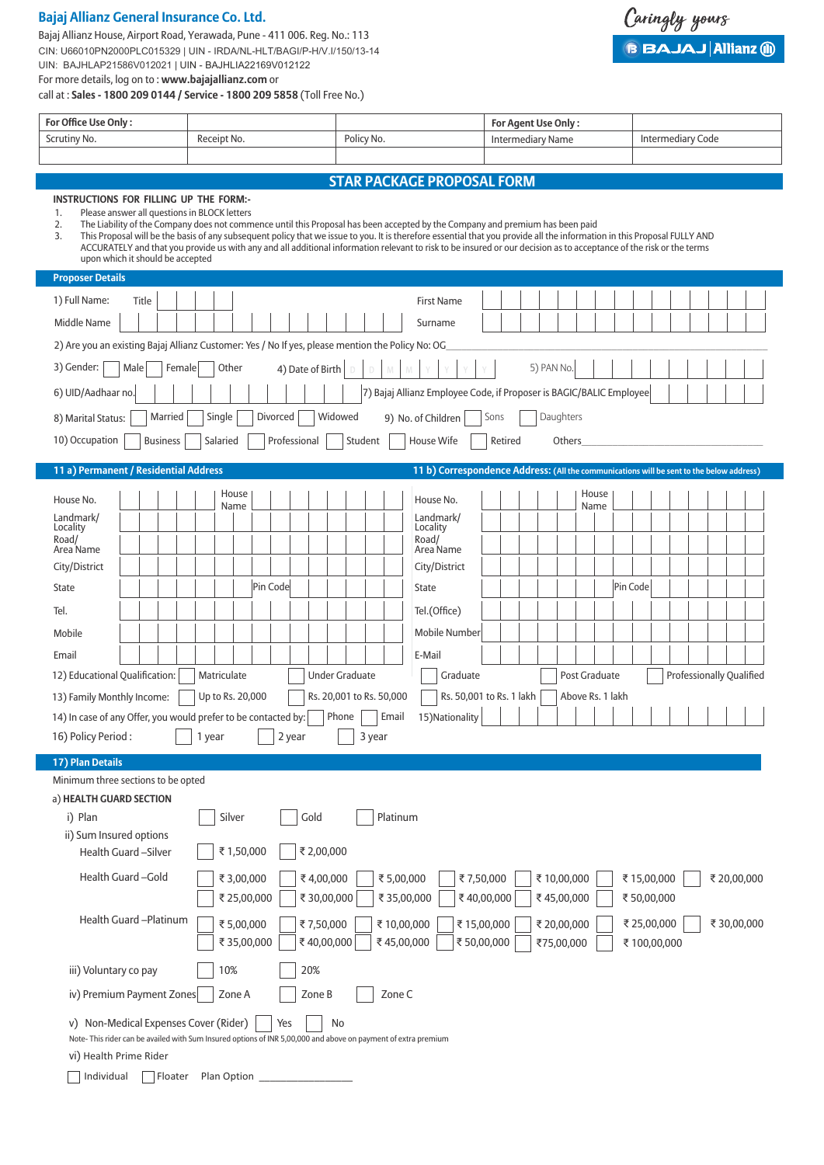## **Bajaj Allianz General Insurance Co. Ltd.**

Bajaj Allianz House, Airport Road, Yerawada, Pune - 411 006. Reg. No.: 113 CIN: U66010PN2000PLC015329 | UIN - IRDA/NL-HLT/BAGI/P-H/V.I/150/13-14 UIN: BAJHLAP21586V012021 | UIN - BAJHLIA22169V012122 For more details, log on to : **www.bajajallianz.com** or call at : **Sales - 1800 209 0144 / Service - 1800 209 5858** (Toll Free No.)

Caringly yours **BBAJAJ Allianz (ii)** 

| <b>STAR PACKAGE PROPOSAL FORM</b> |  |
|-----------------------------------|--|
|-----------------------------------|--|

## **INSTRUCTIONS FOR FILLING UP THE FORM:-**

- 1. Please answer all questions in BLOCK letters<br>2. The Liability of the Company does not comm
	-

**For Office Use Only : For Agent Use Only :**

2. The Liability of the Company does not commence until this Proposal has been accepted by the Company and premium has been paid<br>3. This Proposal will be the basis of any subsequent policy that we issue to you. It is there 3. This Proposal will be the basis of any subsequent policy that we issue to you. It is therefore essential that you provide all the information in this Proposal FULLY AND ACCURATELY and that you provide us with any and all additional information relevant to risk to be insured or our decision as to acceptance of the risk or the terms upon which it should be accepted

Scrutiny No. 2012 Receipt No. 2012 Policy No. 2014 Policy No. 2014 Intermediary Name Intermediary Name Intermediary Code

| <b>Proposer Details</b>                                                                                                   |                                                                                                               |  |                 |        |                  |             |          |              |                  |                       |         |        |                          |                                                                                          |      |         |            |        |                  |          |            |  |                                 |  |  |
|---------------------------------------------------------------------------------------------------------------------------|---------------------------------------------------------------------------------------------------------------|--|-----------------|--------|------------------|-------------|----------|--------------|------------------|-----------------------|---------|--------|--------------------------|------------------------------------------------------------------------------------------|------|---------|------------|--------|------------------|----------|------------|--|---------------------------------|--|--|
| 1) Full Name:                                                                                                             | Title                                                                                                         |  |                 |        |                  |             |          |              |                  |                       |         |        |                          | <b>First Name</b>                                                                        |      |         |            |        |                  |          |            |  |                                 |  |  |
| Middle Name                                                                                                               |                                                                                                               |  |                 |        |                  |             |          |              |                  |                       |         |        |                          | Surname                                                                                  |      |         |            |        |                  |          |            |  |                                 |  |  |
| 2) Are you an existing Bajaj Allianz Customer: Yes / No If yes, please mention the Policy No: OG                          |                                                                                                               |  |                 |        |                  |             |          |              |                  |                       |         |        |                          |                                                                                          |      |         |            |        |                  |          |            |  |                                 |  |  |
| 3) Gender:                                                                                                                | Male                                                                                                          |  | Female          |        | Other            |             |          |              | 4) Date of Birth |                       |         |        |                          |                                                                                          |      |         | 5) PAN No. |        |                  |          |            |  |                                 |  |  |
| 6) UID/Aadhaar no                                                                                                         |                                                                                                               |  |                 |        |                  |             |          |              |                  |                       |         |        |                          | 7) Bajaj Allianz Employee Code, if Proposer is BAGIC/BALIC Employee                      |      |         |            |        |                  |          |            |  |                                 |  |  |
| 8) Marital Status:                                                                                                        |                                                                                                               |  | Married         |        | Single           |             |          | Divorced     |                  | Widowed               |         |        |                          | 9) No. of Children                                                                       | Sons |         | Daughters  |        |                  |          |            |  |                                 |  |  |
| 10) Occupation                                                                                                            |                                                                                                               |  | <b>Business</b> |        | Salaried         |             |          | Professional |                  |                       | Student |        |                          | House Wife                                                                               |      | Retired |            | Others |                  |          |            |  |                                 |  |  |
| 11 a) Permanent / Residential Address                                                                                     |                                                                                                               |  |                 |        |                  |             |          |              |                  |                       |         |        |                          | 11 b) Correspondence Address: (All the communications will be sent to the below address) |      |         |            |        |                  |          |            |  |                                 |  |  |
|                                                                                                                           |                                                                                                               |  |                 |        |                  | House       |          |              |                  |                       |         |        |                          |                                                                                          |      |         |            |        | House            |          |            |  |                                 |  |  |
| House No.                                                                                                                 |                                                                                                               |  |                 |        |                  | Name        |          |              |                  |                       |         |        |                          | House No.                                                                                |      |         |            |        | Name             |          |            |  |                                 |  |  |
| Landmark/<br>Locality                                                                                                     |                                                                                                               |  |                 |        |                  |             |          |              |                  |                       |         |        |                          | Landmark/<br>Locality                                                                    |      |         |            |        |                  |          |            |  |                                 |  |  |
| Road/                                                                                                                     |                                                                                                               |  |                 |        |                  |             |          |              |                  |                       |         |        |                          | Road/                                                                                    |      |         |            |        |                  |          |            |  |                                 |  |  |
| Area Name<br>City/District                                                                                                |                                                                                                               |  |                 |        |                  |             |          |              |                  |                       |         |        |                          | Area Name<br>City/District                                                               |      |         |            |        |                  |          |            |  |                                 |  |  |
| <b>State</b>                                                                                                              |                                                                                                               |  |                 |        |                  |             | Pin Code |              |                  |                       |         |        |                          | <b>State</b>                                                                             |      |         |            |        |                  | Pin Code |            |  |                                 |  |  |
| Tel.                                                                                                                      |                                                                                                               |  |                 |        |                  |             |          |              |                  |                       |         |        |                          | Tel.(Office)                                                                             |      |         |            |        |                  |          |            |  |                                 |  |  |
| Mobile                                                                                                                    |                                                                                                               |  |                 |        |                  |             |          |              |                  |                       |         |        |                          | Mobile Number                                                                            |      |         |            |        |                  |          |            |  |                                 |  |  |
| Email                                                                                                                     |                                                                                                               |  |                 |        |                  |             |          |              |                  |                       |         |        |                          | E-Mail                                                                                   |      |         |            |        |                  |          |            |  |                                 |  |  |
| 12) Educational Qualification:                                                                                            |                                                                                                               |  |                 |        | Matriculate      |             |          |              |                  | <b>Under Graduate</b> |         |        |                          | Graduate                                                                                 |      |         |            |        | Post Graduate    |          |            |  | <b>Professionally Qualified</b> |  |  |
| 13) Family Monthly Income:                                                                                                |                                                                                                               |  |                 |        | Up to Rs. 20,000 |             |          |              |                  |                       |         |        | Rs. 20,001 to Rs. 50,000 | Rs. 50,001 to Rs. 1 lakh                                                                 |      |         |            |        | Above Rs. 1 lakh |          |            |  |                                 |  |  |
| 14) In case of any Offer, you would prefer to be contacted by:                                                            |                                                                                                               |  |                 |        |                  |             |          |              |                  | Phone                 |         |        | Email                    | 15) Nationality                                                                          |      |         |            |        |                  |          |            |  |                                 |  |  |
| 16) Policy Period:                                                                                                        |                                                                                                               |  |                 | 1 year |                  |             |          | 2 year       |                  |                       |         | 3 year |                          |                                                                                          |      |         |            |        |                  |          |            |  |                                 |  |  |
| 17) Plan Details                                                                                                          |                                                                                                               |  |                 |        |                  |             |          |              |                  |                       |         |        |                          |                                                                                          |      |         |            |        |                  |          |            |  |                                 |  |  |
| Minimum three sections to be opted                                                                                        |                                                                                                               |  |                 |        |                  |             |          |              |                  |                       |         |        |                          |                                                                                          |      |         |            |        |                  |          |            |  |                                 |  |  |
| a) HEALTH GUARD SECTION                                                                                                   |                                                                                                               |  |                 |        |                  |             |          |              |                  |                       |         |        |                          |                                                                                          |      |         |            |        |                  |          |            |  |                                 |  |  |
| i) Plan                                                                                                                   |                                                                                                               |  |                 |        | Silver           |             |          |              | Gold             |                       |         |        | Platinum                 |                                                                                          |      |         |            |        |                  |          |            |  |                                 |  |  |
| ii) Sum Insured options                                                                                                   |                                                                                                               |  |                 |        |                  |             |          |              |                  |                       |         |        |                          |                                                                                          |      |         |            |        |                  |          |            |  |                                 |  |  |
| Health Guard - Silver                                                                                                     |                                                                                                               |  |                 |        |                  | ₹1,50,000   |          |              |                  | ₹ 2,00,000            |         |        |                          |                                                                                          |      |         |            |        |                  |          |            |  |                                 |  |  |
| Health Guard-Gold                                                                                                         |                                                                                                               |  |                 |        |                  | ₹3,00,000   |          |              |                  | ₹4,00,000             |         |        | ₹5,00,000                | ₹7,50,000                                                                                |      |         | ₹10,00,000 |        |                  |          | ₹15,00,000 |  | ₹20,00,000                      |  |  |
|                                                                                                                           |                                                                                                               |  |                 |        |                  | ₹ 25,00,000 |          |              |                  | ₹30,00,000            |         |        |                          | ₹40,00,000<br>₹ 35,00,000                                                                |      |         | ₹45,00,000 |        |                  |          | ₹50,00,000 |  |                                 |  |  |
| Health Guard - Platinum<br>₹5,00,000<br>₹7,50,000<br>₹10,00,000<br>₹15,00,000<br>₹20,00,000<br>₹ 25,00,000<br>₹ 30,00,000 |                                                                                                               |  |                 |        |                  |             |          |              |                  |                       |         |        |                          |                                                                                          |      |         |            |        |                  |          |            |  |                                 |  |  |
| ₹ 50,00,000<br>₹ 35,00,000<br>₹40,00,000<br>₹45,00,000<br>₹75,00,000<br>₹100,00,000                                       |                                                                                                               |  |                 |        |                  |             |          |              |                  |                       |         |        |                          |                                                                                          |      |         |            |        |                  |          |            |  |                                 |  |  |
| iii) Voluntary co pay<br>10%<br>20%                                                                                       |                                                                                                               |  |                 |        |                  |             |          |              |                  |                       |         |        |                          |                                                                                          |      |         |            |        |                  |          |            |  |                                 |  |  |
| Zone B<br>Zone C<br>iv) Premium Payment Zones<br>Zone A                                                                   |                                                                                                               |  |                 |        |                  |             |          |              |                  |                       |         |        |                          |                                                                                          |      |         |            |        |                  |          |            |  |                                 |  |  |
| v) Non-Medical Expenses Cover (Rider)<br>Yes<br>No                                                                        |                                                                                                               |  |                 |        |                  |             |          |              |                  |                       |         |        |                          |                                                                                          |      |         |            |        |                  |          |            |  |                                 |  |  |
|                                                                                                                           | Note-This rider can be availed with Sum Insured options of INR 5,00,000 and above on payment of extra premium |  |                 |        |                  |             |          |              |                  |                       |         |        |                          |                                                                                          |      |         |            |        |                  |          |            |  |                                 |  |  |
| vi) Health Prime Rider                                                                                                    |                                                                                                               |  |                 |        |                  |             |          |              |                  |                       |         |        |                          |                                                                                          |      |         |            |        |                  |          |            |  |                                 |  |  |
| Individual                                                                                                                |                                                                                                               |  | Floater         |        | Plan Option      |             |          |              |                  |                       |         |        |                          |                                                                                          |      |         |            |        |                  |          |            |  |                                 |  |  |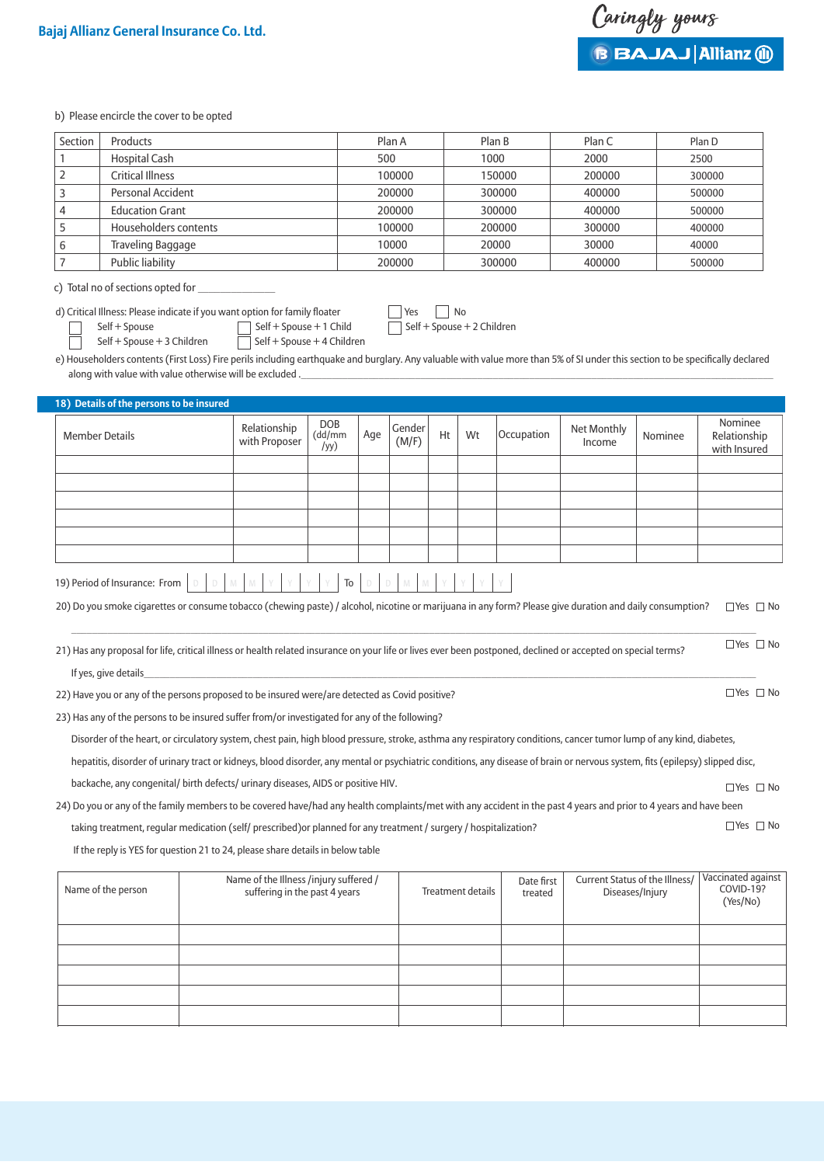$\Box$ Yes  $\Box$  No

 $\Box$  Yes  $\Box$  No

 $\Box$ Yes  $\Box$  No

b) Please encircle the cover to be opted

| Section | <b>Products</b>          | Plan A | Plan B | Plan C | Plan D |
|---------|--------------------------|--------|--------|--------|--------|
|         | <b>Hospital Cash</b>     | 500    | 1000   | 2000   | 2500   |
|         | <b>Critical Illness</b>  | 100000 | 150000 | 200000 | 300000 |
|         | Personal Accident        | 200000 | 300000 | 400000 | 500000 |
|         | <b>Education Grant</b>   | 200000 | 300000 | 400000 | 500000 |
|         | Householders contents    | 100000 | 200000 | 300000 | 400000 |
|         | <b>Traveling Baggage</b> | 10000  | 20000  | 30000  | 40000  |
|         | Public liability         | 200000 | 300000 | 400000 | 500000 |

c) Total no of sections opted for

d) Critical Illness: Please indicate if you want option for family floater  $\Box$  Yes  $\Box$  No<br>  $\Box$  Self + Spouse + 1 Child  $\Box$  Self + Spouse + 2 Children  $\begin{array}{c}\n\text{Self + Spouse} \\
\hline\n\end{array} \quad \begin{array}{c}\n\text{Self + Spouse + 1 Child} \\
\hline\n\end{array}$ 

Self + Spouse + 3 Children  $\Box$  Self + Spouse + 4 Children

e) Householders contents (First Loss) Fire perils including earthquake and burglary. Any valuable with value more than 5% of SI under this section to be specifically declared along with value with value otherwise will be excluded .

| 18) Details of the persons to be insured |                               |                       |     |                 |    |    |            |                       |         |                                         |
|------------------------------------------|-------------------------------|-----------------------|-----|-----------------|----|----|------------|-----------------------|---------|-----------------------------------------|
| <b>Member Details</b>                    | Relationship<br>with Proposer | DOB<br>(dd/mm<br>/yy) | Age | Gender<br>(M/F) | Ht | Wt | Occupation | Net Monthly<br>Income | Nominee | Nominee<br>Relationship<br>with Insured |
|                                          |                               |                       |     |                 |    |    |            |                       |         |                                         |
|                                          |                               |                       |     |                 |    |    |            |                       |         |                                         |
|                                          |                               |                       |     |                 |    |    |            |                       |         |                                         |
|                                          |                               |                       |     |                 |    |    |            |                       |         |                                         |
|                                          |                               |                       |     |                 |    |    |            |                       |         |                                         |
|                                          |                               |                       |     |                 |    |    |            |                       |         |                                         |
|                                          | .                             |                       |     |                 |    |    |            |                       |         |                                         |

| 19) Period of Insurance: From $\boxed{D}$ $\boxed{D}$ $\boxed{M}$ $\boxed{M}$ $\boxed{Y}$ $\boxed{Y}$ $\boxed{Y}$ $\boxed{Y}$ $\boxed{D}$ $\boxed{D}$ $\boxed{M}$ $\boxed{M}$ $\boxed{Y}$ $\boxed{Y}$ $\boxed{Y}$ |  |  |  |  |  |  |  |  |  |
|-------------------------------------------------------------------------------------------------------------------------------------------------------------------------------------------------------------------|--|--|--|--|--|--|--|--|--|
|                                                                                                                                                                                                                   |  |  |  |  |  |  |  |  |  |

20) Do you smoke cigarettes or consume tobacco (chewing paste) / alcohol, nicotine or marijuana in any form? Please give duration and daily consumption?  $\_$  , and the state of the state of the state of the state of the state of the state of the state of the state of the state of the state of the state of the state of the state of the state of the state of the state of the  $\Box$  Yes  $\Box$  No

21) Has any proposal for life, critical illness or health related insurance on your life or lives ever been postponed, declined or accepted on special terms? If yes, give details\_\_\_\_\_\_\_\_\_\_\_\_\_\_\_\_\_\_\_\_\_\_\_\_\_\_\_\_\_\_\_\_\_\_\_\_\_\_\_\_\_\_\_\_\_\_\_\_\_\_\_\_\_\_\_\_\_\_\_\_\_\_\_\_\_\_\_\_\_\_\_\_\_\_\_\_\_\_\_\_\_\_\_\_\_\_\_\_\_\_\_\_\_\_\_\_\_\_\_\_\_\_\_\_\_\_\_\_\_\_\_\_\_\_\_\_\_\_  $\Box$  Yes  $\Box$  No

22) Have you or any of the persons proposed to be insured were/are detected as Covid positive?

23) Has any of the persons to be insured suffer from/or investigated for any of the following?

Disorder of the heart, or circulatory system, chest pain, high blood pressure, stroke, asthma any respiratory conditions, cancer tumor lump of any kind, diabetes,

hepatitis, disorder of urinary tract or kidneys, blood disorder, any mental or psychiatric conditions, any disease of brain or nervous system, fits (epilepsy) slipped disc,

backache, any congenital/ birth defects/ urinary diseases, AIDS or positive HIV.

24) Do you or any of the family members to be covered have/had any health complaints/met with any accident in the past 4 years and prior to 4 years and have been

taking treatment, regular medication (self/ prescribed)or planned for any treatment / surgery / hospitalization?

If the reply is YES for question 21 to 24, please share details in below table

| Name of the person | Name of the Illness /injury suffered /<br>suffering in the past 4 years | Treatment details | Date first<br>treated | Current Status of the Illness/<br>Diseases/Injury | Vaccinated against<br>COVID-19?<br>(Yes/No) |
|--------------------|-------------------------------------------------------------------------|-------------------|-----------------------|---------------------------------------------------|---------------------------------------------|
|                    |                                                                         |                   |                       |                                                   |                                             |
|                    |                                                                         |                   |                       |                                                   |                                             |
|                    |                                                                         |                   |                       |                                                   |                                             |
|                    |                                                                         |                   |                       |                                                   |                                             |
|                    |                                                                         |                   |                       |                                                   |                                             |